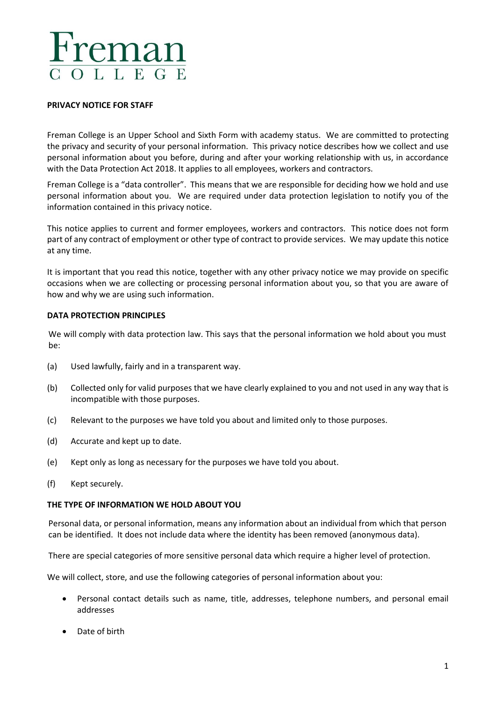# Fremai OLLEGE

## **PRIVACY NOTICE FOR STAFF**

Freman College is an Upper School and Sixth Form with academy status. We are committed to protecting the privacy and security of your personal information. This privacy notice describes how we collect and use personal information about you before, during and after your working relationship with us, in accordance with the Data Protection Act 2018. It applies to all employees, workers and contractors.

Freman College is a "data controller". This means that we are responsible for deciding how we hold and use personal information about you. We are required under data protection legislation to notify you of the information contained in this privacy notice.

This notice applies to current and former employees, workers and contractors. This notice does not form part of any contract of employment or other type of contract to provide services. We may update this notice at any time.

It is important that you read this notice, together with any other privacy notice we may provide on specific occasions when we are collecting or processing personal information about you, so that you are aware of how and why we are using such information.

## **DATA PROTECTION PRINCIPLES**

We will comply with data protection law. This says that the personal information we hold about you must be:

- (a) Used lawfully, fairly and in a transparent way.
- (b) Collected only for valid purposes that we have clearly explained to you and not used in any way that is incompatible with those purposes.
- (c) Relevant to the purposes we have told you about and limited only to those purposes.
- (d) Accurate and kept up to date.
- (e) Kept only as long as necessary for the purposes we have told you about.
- (f) Kept securely.

#### **THE TYPE OF INFORMATION WE HOLD ABOUT YOU**

Personal data, or personal information, means any information about an individual from which that person can be identified. It does not include data where the identity has been removed (anonymous data).

There are special categories of more sensitive personal data which require a higher level of protection.

We will collect, store, and use the following categories of personal information about you:

- Personal contact details such as name, title, addresses, telephone numbers, and personal email addresses
- Date of birth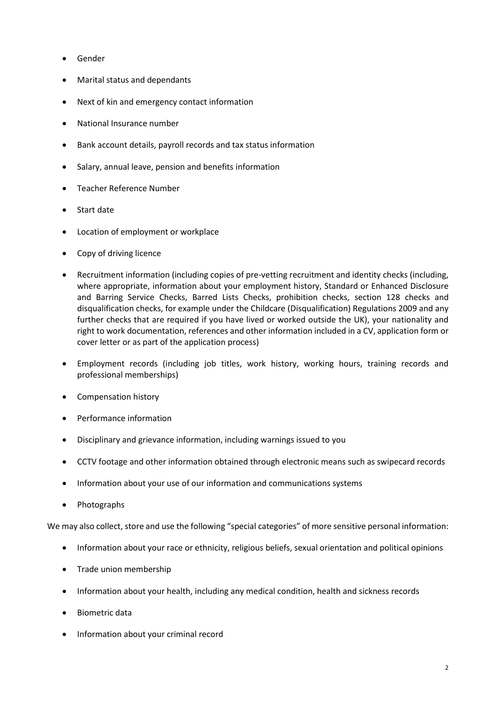- Gender
- Marital status and dependants
- Next of kin and emergency contact information
- National Insurance number
- Bank account details, payroll records and tax status information
- Salary, annual leave, pension and benefits information
- Teacher Reference Number
- Start date
- Location of employment or workplace
- Copy of driving licence
- Recruitment information (including copies of pre-vetting recruitment and identity checks (including, where appropriate, information about your employment history, Standard or Enhanced Disclosure and Barring Service Checks, Barred Lists Checks, prohibition checks, section 128 checks and disqualification checks, for example under the Childcare (Disqualification) Regulations 2009 and any further checks that are required if you have lived or worked outside the UK), your nationality and right to work documentation, references and other information included in a CV, application form or cover letter or as part of the application process)
- Employment records (including job titles, work history, working hours, training records and professional memberships)
- Compensation history
- Performance information
- Disciplinary and grievance information, including warnings issued to you
- CCTV footage and other information obtained through electronic means such as swipecard records
- Information about your use of our information and communications systems
- Photographs

We may also collect, store and use the following "special categories" of more sensitive personal information:

- Information about your race or ethnicity, religious beliefs, sexual orientation and political opinions
- Trade union membership
- Information about your health, including any medical condition, health and sickness records
- Biometric data
- Information about your criminal record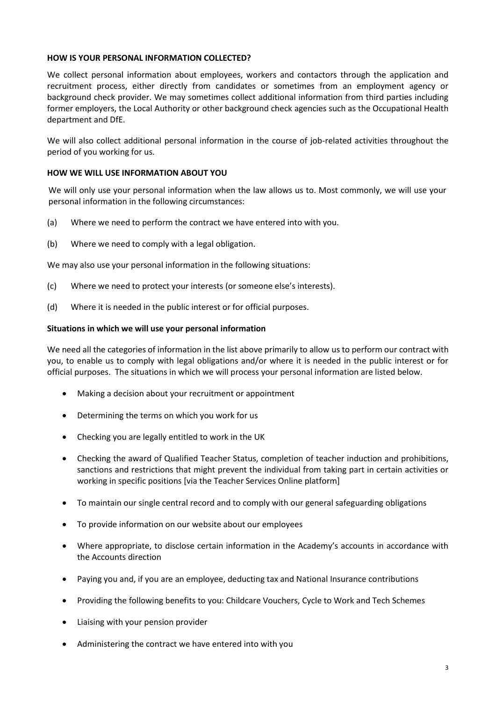# **HOW IS YOUR PERSONAL INFORMATION COLLECTED?**

We collect personal information about employees, workers and contactors through the application and recruitment process, either directly from candidates or sometimes from an employment agency or background check provider. We may sometimes collect additional information from third parties including former employers, the Local Authority or other background check agencies such as the Occupational Health department and DfE.

We will also collect additional personal information in the course of job-related activities throughout the period of you working for us.

### **HOW WE WILL USE INFORMATION ABOUT YOU**

We will only use your personal information when the law allows us to. Most commonly, we will use your personal information in the following circumstances:

- (a) Where we need to perform the contract we have entered into with you.
- (b) Where we need to comply with a legal obligation.

We may also use your personal information in the following situations:

- (c) Where we need to protect your interests (or someone else's interests).
- (d) Where it is needed in the public interest or for official purposes.

#### **Situations in which we will use your personal information**

We need all the categories of information in the list above primarily to allow us to perform our contract with you, to enable us to comply with legal obligations and/or where it is needed in the public interest or for official purposes. The situations in which we will process your personal information are listed below.

- Making a decision about your recruitment or appointment
- Determining the terms on which you work for us
- Checking you are legally entitled to work in the UK
- Checking the award of Qualified Teacher Status, completion of teacher induction and prohibitions, sanctions and restrictions that might prevent the individual from taking part in certain activities or working in specific positions [via the Teacher Services Online platform]
- To maintain our single central record and to comply with our general safeguarding obligations
- To provide information on our website about our employees
- Where appropriate, to disclose certain information in the Academy's accounts in accordance with the Accounts direction
- Paying you and, if you are an employee, deducting tax and National Insurance contributions
- Providing the following benefits to you: Childcare Vouchers, Cycle to Work and Tech Schemes
- Liaising with your pension provider
- Administering the contract we have entered into with you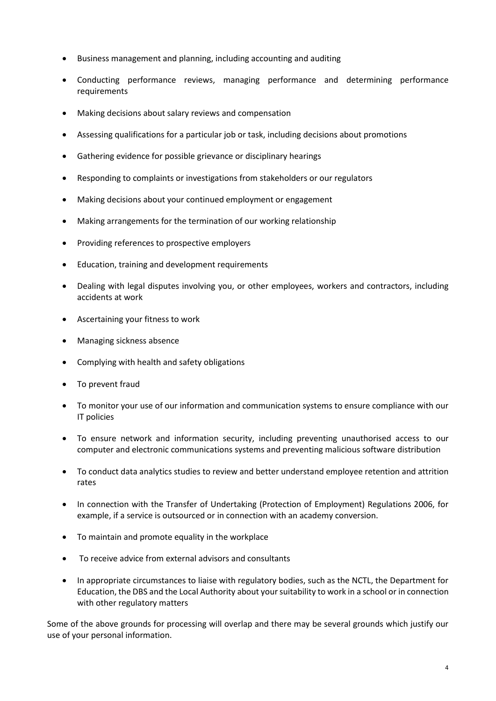- Business management and planning, including accounting and auditing
- Conducting performance reviews, managing performance and determining performance requirements
- Making decisions about salary reviews and compensation
- Assessing qualifications for a particular job or task, including decisions about promotions
- Gathering evidence for possible grievance or disciplinary hearings
- Responding to complaints or investigations from stakeholders or our regulators
- Making decisions about your continued employment or engagement
- Making arrangements for the termination of our working relationship
- Providing references to prospective employers
- Education, training and development requirements
- Dealing with legal disputes involving you, or other employees, workers and contractors, including accidents at work
- Ascertaining your fitness to work
- Managing sickness absence
- Complying with health and safety obligations
- To prevent fraud
- To monitor your use of our information and communication systems to ensure compliance with our IT policies
- To ensure network and information security, including preventing unauthorised access to our computer and electronic communications systems and preventing malicious software distribution
- To conduct data analytics studies to review and better understand employee retention and attrition rates
- In connection with the Transfer of Undertaking (Protection of Employment) Regulations 2006, for example, if a service is outsourced or in connection with an academy conversion.
- To maintain and promote equality in the workplace
- To receive advice from external advisors and consultants
- In appropriate circumstances to liaise with regulatory bodies, such as the NCTL, the Department for Education, the DBS and the Local Authority about your suitability to work in a school or in connection with other regulatory matters

Some of the above grounds for processing will overlap and there may be several grounds which justify our use of your personal information.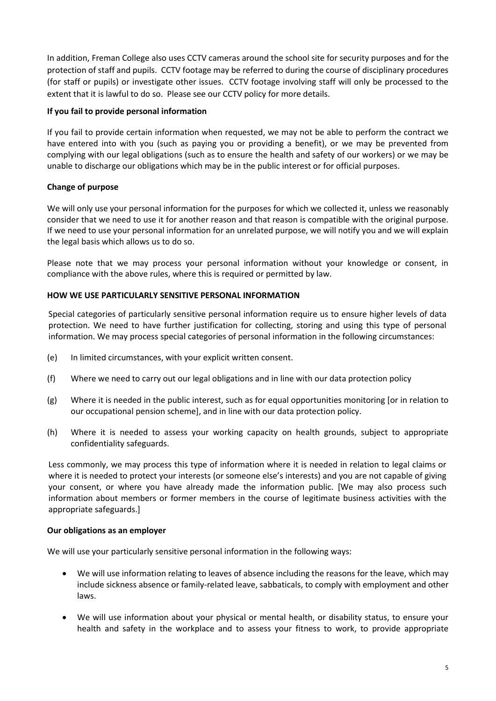In addition, Freman College also uses CCTV cameras around the school site for security purposes and for the protection of staff and pupils. CCTV footage may be referred to during the course of disciplinary procedures (for staff or pupils) or investigate other issues. CCTV footage involving staff will only be processed to the extent that it is lawful to do so. Please see our CCTV policy for more details.

# **If you fail to provide personal information**

If you fail to provide certain information when requested, we may not be able to perform the contract we have entered into with you (such as paying you or providing a benefit), or we may be prevented from complying with our legal obligations (such as to ensure the health and safety of our workers) or we may be unable to discharge our obligations which may be in the public interest or for official purposes.

# **Change of purpose**

We will only use your personal information for the purposes for which we collected it, unless we reasonably consider that we need to use it for another reason and that reason is compatible with the original purpose. If we need to use your personal information for an unrelated purpose, we will notify you and we will explain the legal basis which allows us to do so.

Please note that we may process your personal information without your knowledge or consent, in compliance with the above rules, where this is required or permitted by law.

# **HOW WE USE PARTICULARLY SENSITIVE PERSONAL INFORMATION**

Special categories of particularly sensitive personal information require us to ensure higher levels of data protection. We need to have further justification for collecting, storing and using this type of personal information. We may process special categories of personal information in the following circumstances:

- (e) In limited circumstances, with your explicit written consent.
- (f) Where we need to carry out our legal obligations and in line with our data protection policy
- (g) Where it is needed in the public interest, such as for equal opportunities monitoring [or in relation to our occupational pension scheme], and in line with our data protection policy.
- (h) Where it is needed to assess your working capacity on health grounds, subject to appropriate confidentiality safeguards.

Less commonly, we may process this type of information where it is needed in relation to legal claims or where it is needed to protect your interests (or someone else's interests) and you are not capable of giving your consent, or where you have already made the information public. [We may also process such information about members or former members in the course of legitimate business activities with the appropriate safeguards.]

## **Our obligations as an employer**

We will use your particularly sensitive personal information in the following ways:

- We will use information relating to leaves of absence including the reasons for the leave, which may include sickness absence or family-related leave, sabbaticals, to comply with employment and other laws.
- We will use information about your physical or mental health, or disability status, to ensure your health and safety in the workplace and to assess your fitness to work, to provide appropriate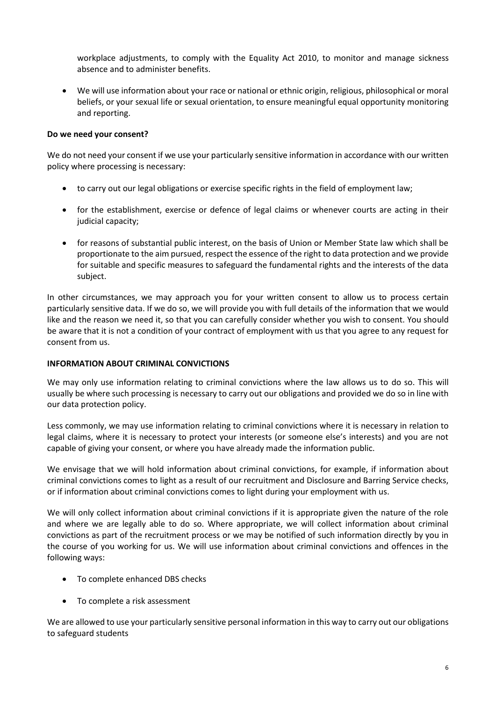workplace adjustments, to comply with the Equality Act 2010, to monitor and manage sickness absence and to administer benefits.

• We will use information about your race or national or ethnic origin, religious, philosophical or moral beliefs, or your sexual life or sexual orientation, to ensure meaningful equal opportunity monitoring and reporting.

# **Do we need your consent?**

We do not need your consent if we use your particularly sensitive information in accordance with our written policy where processing is necessary:

- to carry out our legal obligations or exercise specific rights in the field of employment law;
- for the establishment, exercise or defence of legal claims or whenever courts are acting in their judicial capacity;
- for reasons of substantial public interest, on the basis of Union or Member State law which shall be proportionate to the aim pursued, respect the essence of the right to data protection and we provide for suitable and specific measures to safeguard the fundamental rights and the interests of the data subject.

In other circumstances, we may approach you for your written consent to allow us to process certain particularly sensitive data. If we do so, we will provide you with full details of the information that we would like and the reason we need it, so that you can carefully consider whether you wish to consent. You should be aware that it is not a condition of your contract of employment with us that you agree to any request for consent from us.

# **INFORMATION ABOUT CRIMINAL CONVICTIONS**

We may only use information relating to criminal convictions where the law allows us to do so. This will usually be where such processing is necessary to carry out our obligations and provided we do so in line with our data protection policy.

Less commonly, we may use information relating to criminal convictions where it is necessary in relation to legal claims, where it is necessary to protect your interests (or someone else's interests) and you are not capable of giving your consent, or where you have already made the information public.

We envisage that we will hold information about criminal convictions, for example, if information about criminal convictions comes to light as a result of our recruitment and Disclosure and Barring Service checks, or if information about criminal convictions comes to light during your employment with us.

We will only collect information about criminal convictions if it is appropriate given the nature of the role and where we are legally able to do so. Where appropriate, we will collect information about criminal convictions as part of the recruitment process or we may be notified of such information directly by you in the course of you working for us. We will use information about criminal convictions and offences in the following ways:

- To complete enhanced DBS checks
- To complete a risk assessment

We are allowed to use your particularly sensitive personal information in this way to carry out our obligations to safeguard students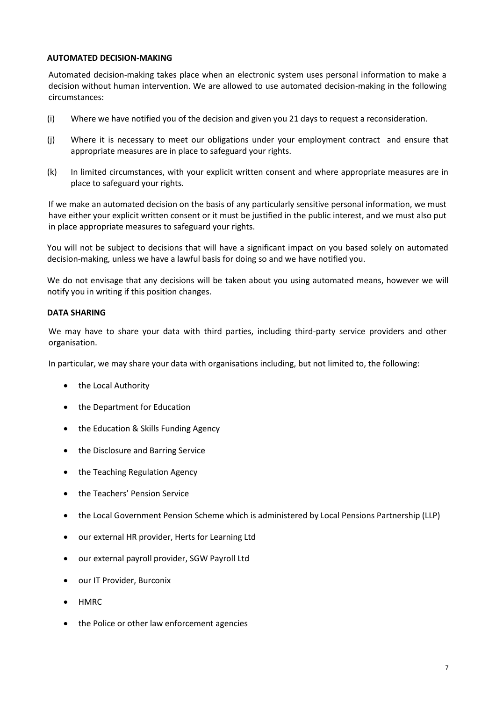## **AUTOMATED DECISION-MAKING**

Automated decision-making takes place when an electronic system uses personal information to make a decision without human intervention. We are allowed to use automated decision-making in the following circumstances:

- (i) Where we have notified you of the decision and given you 21 days to request a reconsideration.
- (j) Where it is necessary to meet our obligations under your employment contract and ensure that appropriate measures are in place to safeguard your rights.
- (k) In limited circumstances, with your explicit written consent and where appropriate measures are in place to safeguard your rights.

If we make an automated decision on the basis of any particularly sensitive personal information, we must have either your explicit written consent or it must be justified in the public interest, and we must also put in place appropriate measures to safeguard your rights.

You will not be subject to decisions that will have a significant impact on you based solely on automated decision-making, unless we have a lawful basis for doing so and we have notified you.

We do not envisage that any decisions will be taken about you using automated means, however we will notify you in writing if this position changes.

# **DATA SHARING**

We may have to share your data with third parties, including third-party service providers and other organisation.

In particular, we may share your data with organisations including, but not limited to, the following:

- the Local Authority
- the Department for Education
- the Education & Skills Funding Agency
- the Disclosure and Barring Service
- the Teaching Regulation Agency
- the Teachers' Pension Service
- the Local Government Pension Scheme which is administered by Local Pensions Partnership (LLP)
- our external HR provider, Herts for Learning Ltd
- our external payroll provider, SGW Payroll Ltd
- our IT Provider, Burconix
- HMRC
- the Police or other law enforcement agencies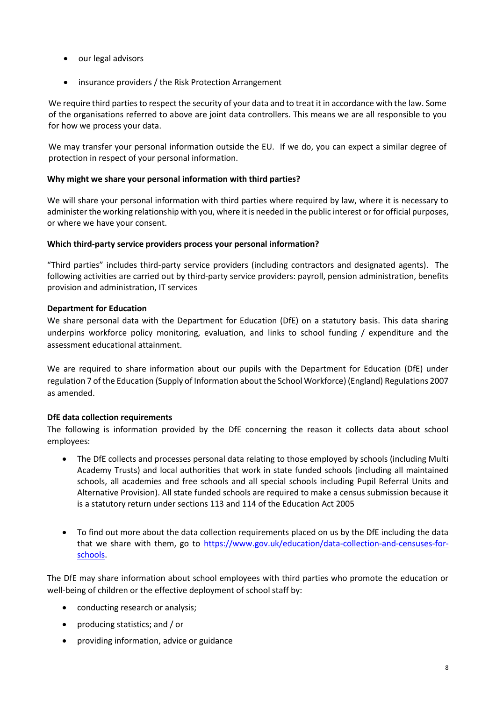- our legal advisors
- insurance providers / the Risk Protection Arrangement

We require third parties to respect the security of your data and to treat it in accordance with the law. Some of the organisations referred to above are joint data controllers. This means we are all responsible to you for how we process your data.

We may transfer your personal information outside the EU. If we do, you can expect a similar degree of protection in respect of your personal information.

# **Why might we share your personal information with third parties?**

We will share your personal information with third parties where required by law, where it is necessary to administer the working relationship with you, where it is needed in the public interest or for official purposes, or where we have your consent.

# **Which third-party service providers process your personal information?**

"Third parties" includes third-party service providers (including contractors and designated agents). The following activities are carried out by third-party service providers: payroll, pension administration, benefits provision and administration, IT services

# **Department for Education**

We share personal data with the Department for Education (DfE) on a statutory basis. This data sharing underpins workforce policy monitoring, evaluation, and links to school funding / expenditure and the assessment educational attainment.

We are required to share information about our pupils with the Department for Education (DfE) under regulation 7 of the Education (Supply of Information about the School Workforce) (England) Regulations 2007 as amended.

# **DfE data collection requirements**

The following is information provided by the DfE concerning the reason it collects data about school employees:

- The DfE collects and processes personal data relating to those employed by schools (including Multi Academy Trusts) and local authorities that work in state funded schools (including all maintained schools, all academies and free schools and all special schools including Pupil Referral Units and Alternative Provision). All state funded schools are required to make a census submission because it is a statutory return under sections 113 and 114 of the Education Act 2005
- To find out more about the data collection requirements placed on us by the DfE including the data that we share with them, go to [https://www.gov.uk/education/data-collection-and-censuses-for](https://www.gov.uk/education/data-collection-and-censuses-for-schools)[schools.](https://www.gov.uk/education/data-collection-and-censuses-for-schools)

The DfE may share information about school employees with third parties who promote the education or well-being of children or the effective deployment of school staff by:

- conducting research or analysis;
- producing statistics; and / or
- providing information, advice or guidance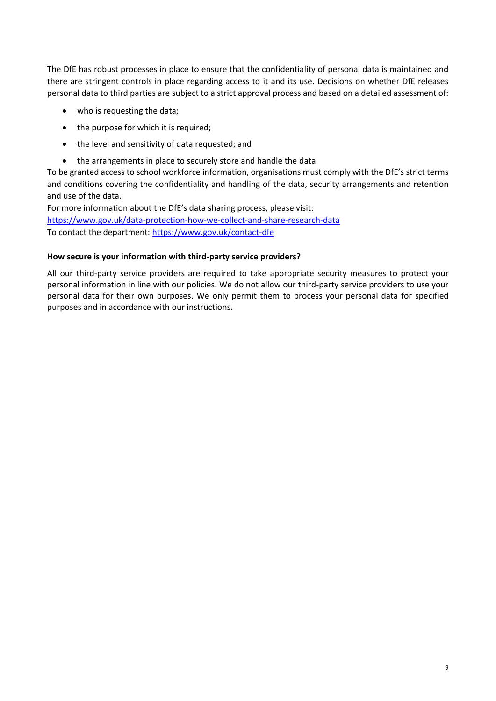The DfE has robust processes in place to ensure that the confidentiality of personal data is maintained and there are stringent controls in place regarding access to it and its use. Decisions on whether DfE releases personal data to third parties are subject to a strict approval process and based on a detailed assessment of:

- who is requesting the data;
- the purpose for which it is required;
- the level and sensitivity of data requested; and
- the arrangements in place to securely store and handle the data

To be granted access to school workforce information, organisations must comply with the DfE's strict terms and conditions covering the confidentiality and handling of the data, security arrangements and retention and use of the data.

For more information about the DfE's data sharing process, please visit: <https://www.gov.uk/data-protection-how-we-collect-and-share-research-data> To contact the department[: https://www.gov.uk/contact-dfe](https://www.gov.uk/contact-dfe)

# **How secure is your information with third-party service providers?**

All our third-party service providers are required to take appropriate security measures to protect your personal information in line with our policies. We do not allow our third-party service providers to use your personal data for their own purposes. We only permit them to process your personal data for specified purposes and in accordance with our instructions.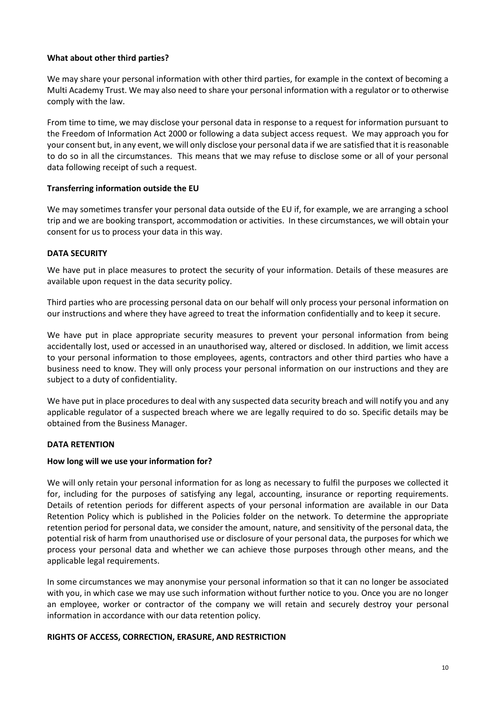# **What about other third parties?**

We may share your personal information with other third parties, for example in the context of becoming a Multi Academy Trust. We may also need to share your personal information with a regulator or to otherwise comply with the law.

From time to time, we may disclose your personal data in response to a request for information pursuant to the Freedom of Information Act 2000 or following a data subject access request. We may approach you for your consent but, in any event, we will only disclose your personal data if we are satisfied that it is reasonable to do so in all the circumstances. This means that we may refuse to disclose some or all of your personal data following receipt of such a request.

# **Transferring information outside the EU**

We may sometimes transfer your personal data outside of the EU if, for example, we are arranging a school trip and we are booking transport, accommodation or activities. In these circumstances, we will obtain your consent for us to process your data in this way.

# **DATA SECURITY**

We have put in place measures to protect the security of your information. Details of these measures are available upon request in the data security policy.

Third parties who are processing personal data on our behalf will only process your personal information on our instructions and where they have agreed to treat the information confidentially and to keep it secure.

We have put in place appropriate security measures to prevent your personal information from being accidentally lost, used or accessed in an unauthorised way, altered or disclosed. In addition, we limit access to your personal information to those employees, agents, contractors and other third parties who have a business need to know. They will only process your personal information on our instructions and they are subject to a duty of confidentiality.

We have put in place procedures to deal with any suspected data security breach and will notify you and any applicable regulator of a suspected breach where we are legally required to do so. Specific details may be obtained from the Business Manager.

# **DATA RETENTION**

## **How long will we use your information for?**

We will only retain your personal information for as long as necessary to fulfil the purposes we collected it for, including for the purposes of satisfying any legal, accounting, insurance or reporting requirements. Details of retention periods for different aspects of your personal information are available in our Data Retention Policy which is published in the Policies folder on the network. To determine the appropriate retention period for personal data, we consider the amount, nature, and sensitivity of the personal data, the potential risk of harm from unauthorised use or disclosure of your personal data, the purposes for which we process your personal data and whether we can achieve those purposes through other means, and the applicable legal requirements.

In some circumstances we may anonymise your personal information so that it can no longer be associated with you, in which case we may use such information without further notice to you. Once you are no longer an employee, worker or contractor of the company we will retain and securely destroy your personal information in accordance with our data retention policy.

## **RIGHTS OF ACCESS, CORRECTION, ERASURE, AND RESTRICTION**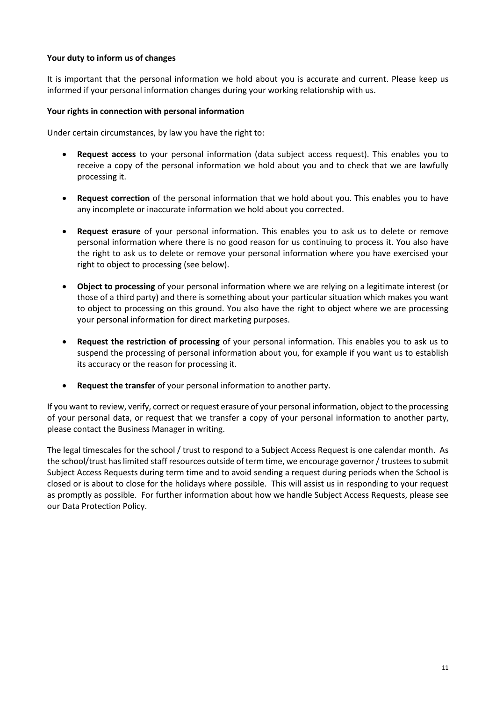# **Your duty to inform us of changes**

It is important that the personal information we hold about you is accurate and current. Please keep us informed if your personal information changes during your working relationship with us.

## **Your rights in connection with personal information**

Under certain circumstances, by law you have the right to:

- **Request access** to your personal information (data subject access request). This enables you to receive a copy of the personal information we hold about you and to check that we are lawfully processing it.
- **Request correction** of the personal information that we hold about you. This enables you to have any incomplete or inaccurate information we hold about you corrected.
- **Request erasure** of your personal information. This enables you to ask us to delete or remove personal information where there is no good reason for us continuing to process it. You also have the right to ask us to delete or remove your personal information where you have exercised your right to object to processing (see below).
- **Object to processing** of your personal information where we are relying on a legitimate interest (or those of a third party) and there is something about your particular situation which makes you want to object to processing on this ground. You also have the right to object where we are processing your personal information for direct marketing purposes.
- **Request the restriction of processing** of your personal information. This enables you to ask us to suspend the processing of personal information about you, for example if you want us to establish its accuracy or the reason for processing it.
- **Request the transfer** of your personal information to another party.

If you want to review, verify, correct or request erasure of your personal information, object to the processing of your personal data, or request that we transfer a copy of your personal information to another party, please contact the Business Manager in writing.

The legal timescales for the school / trust to respond to a Subject Access Request is one calendar month. As the school/trust has limited staff resources outside of term time, we encourage governor / trustees to submit Subject Access Requests during term time and to avoid sending a request during periods when the School is closed or is about to close for the holidays where possible. This will assist us in responding to your request as promptly as possible. For further information about how we handle Subject Access Requests, please see our Data Protection Policy.